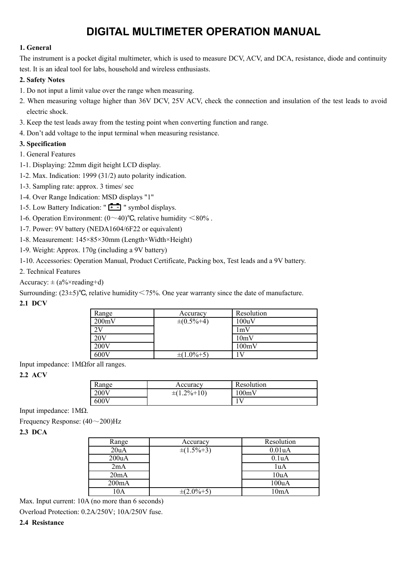# **DIGITAL MULTIMETER OPERATION MANUAL**

## **1. General**

The instrument is a pocket digital multimeter, which is used to measure DCV, ACV, and DCA, resistance, diode and continuity test. It is an ideal tool for labs, household and wireless enthusiasts.

### **2. Safety Notes**

- 1. Do not input a limit value over the range when measuring.
- 2. When measuring voltage higher than 36V DCV, 25V ACV, check the connection and insulation of the test leads to avoid electric shock.
- 3. Keep the test leads away from the testing point when converting function and range.
- 4. Don't add voltage to the input terminal when measuring resistance.

## **3. Specification**

- 1. General Features
- 1-1. Displaying: 22mm digit height LCD display.
- 1-2. Max. Indication: 1999 (31/2) auto polarity indication.
- 1-3. Sampling rate: approx. 3 times/ sec
- 1-4. Over Range Indication: MSD displays "1"
- 1-5. Low Battery Indication:  $\sqrt{2}$  " symbol displays.
- 1-6. Operation Environment:  $(0~40)$ °C, relative humidity  $\leq 80\%$ .
- 1-7. Power: 9V battery (NEDA1604/6F22 or equivalent)
- 1-8. Measurement: 145×85×30mm (Length×Width×Height)
- 1-9. Weight: Approx. 170g (including a 9V battery)
- 1-10. Accessories: Operation Manual, Product Certificate, Packing box, Test leads and a 9V battery.
- 2. Technical Features
- Accuracy:  $\pm$  (a%×reading+d)

Surrounding: (23±5)°C, relative humidity < 75%. One year warranty since the date of manufacture.

# **2.1 DCV**

| Range          | Accuracy          | Resolution |
|----------------|-------------------|------------|
| 200mV          | $\pm (0.5\% + 4)$ | 100uV      |
| 2V             |                   | 1mV        |
| $20\mathrm{V}$ |                   | 10mV       |
| 200V           |                   | 100mV      |
| 600V           | $\pm(1.0\% + 5)$  | ۱V         |

Input impedance: 1MΩfor all ranges.

### **2.2 ACV**

| Range | Accuracy          | Resolution |
|-------|-------------------|------------|
| 200V  | $\pm(1.2\% + 10)$ | 100mV      |
| 600V  |                   |            |

Input impedance: 1MΩ.

Frequency Response: (40~200)Hz

**2.3 DCA**

| Range | Accuracy          | Resolution          |
|-------|-------------------|---------------------|
| 20uA  | $\pm(1.5\% + 3)$  | 0.01 <sub>u</sub> A |
| 200uA |                   | 0.1 <sub>u</sub> A  |
| 2mA   |                   | 1uA                 |
| 20mA  |                   | 10uA                |
| 200mA |                   | 100uA               |
| 10A   | $\pm (2.0\% + 5)$ | 10mA                |

Max. Input current: 10A (no more than 6 seconds)

Overload Protection: 0.2A/250V; 10A/250V fuse.

### **2.4 Resistance**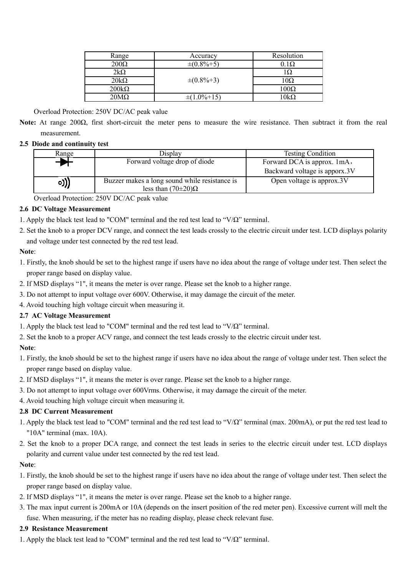| Range        | Accuracy          | Resolution  |
|--------------|-------------------|-------------|
| $200\Omega$  | $\pm (0.8\% + 5)$ | $0.1\Omega$ |
| $2k\Omega$   |                   | 1Ω          |
| $20k\Omega$  | $\pm (0.8\% + 3)$ | $10\Omega$  |
| $200k\Omega$ |                   | $100\Omega$ |
| $20M\Omega$  | $(1.0\% + 15)$    | $0k\Omega$  |

#### Overload Protection: 250V DC/AC peak value

- **Note:** At range 200Ω, first short-circuit the meter pens to measure the wire resistance. Then subtract it from the real measurement.
- **2.5 Diode and continuity test**

| Range | Display                                                                      | <b>Testing Condition</b>      |
|-------|------------------------------------------------------------------------------|-------------------------------|
|       | Forward voltage drop of diode                                                | Forward DCA is approx. 1mA,   |
|       |                                                                              | Backward voltage is apporx.3V |
| o)))  | Buzzer makes a long sound while resistance is<br>less than $(70\pm20)\Omega$ | Open voltage is approx.3V     |

Overload Protection: 250V DC/AC peak value

### **2.6 DC Voltage Measurement**

- 1. Apply the black test lead to "COM" terminal and the red test lead to "V/Ω" terminal.
- 2. Set the knob to a proper DCV range, and connect the test leads crossly to the electric circuit under test. LCD displays polarity and voltage under test connected by the red test lead.

## **Note**:

- 1. Firstly, the knob should be set to the highest range if users have no idea about the range of voltage under test. Then select the proper range based on display value.
- 2. If MSD displays "1", it means the meter is over range. Please set the knob to a higher range.
- 3. Do not attempt to input voltage over 600V. Otherwise, it may damage the circuit of the meter.
- 4. Avoid touching high voltage circuit when measuring it.

### **2.7 AC Voltage Measurement**

- 1. Apply the black test lead to "COM" terminal and the red test lead to "V/Ω" terminal.
- 2. Set the knob to a proper ACV range, and connect the test leads crossly to the electric circuit under test.

## **Note**:

- 1. Firstly, the knob should be set to the highest range if users have no idea about the range of voltage under test. Then select the proper range based on display value.
- 2. If MSD displays "1", it means the meter is over range. Please set the knob to a higher range.
- 3. Do not attempt to input voltage over 600Vrms. Otherwise, it may damage the circuit of the meter.
- 4. Avoid touching high voltage circuit when measuring it.

### **2.8 DC Current Measurement**

- 1. Apply the black test lead to "COM" terminal and the red test lead to "V/Ω" terminal (max. 200mA), or put the red test lead to "10A" terminal (max. 10A).
- 2. Set the knob to a proper DCA range, and connect the test leads in series to the electric circuit under test. LCD displays polarity and current value under test connected by the red test lead.

### **Note**:

- 1. Firstly, the knob should be set to the highest range if users have no idea about the range of voltage under test. Then select the proper range based on display value.
- 2. If MSD displays "1", it means the meter is over range. Please set the knob to a higher range.
- 3. The max input current is 200mA or 10A (depends on the insert position of the red meter pen). Excessive current will melt the fuse. When measuring, if the meter has no reading display, please check relevant fuse.

### **2.9 Resistance Measurement**

1. Apply the black test lead to "COM" terminal and the red test lead to "V/Ω" terminal.